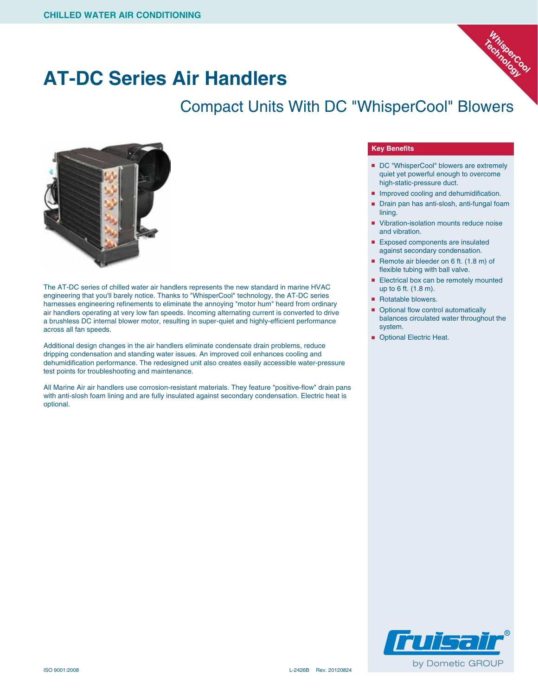

## **AT-DC Series Air Handlers**

### Compact Units With DC "WhisperCool" Blowers



The AT-DC series of chilled water air handlers represents the new standard in marine HVAC engineering that you'll barely notice. Thanks to "WhisperCool" technology, the AT-DC series harnesses engineering refinements to eliminate the annoying "motor hum" heard from ordinary air handlers operating at very low fan speeds. Incoming alternating current is converted to drive a brushless DC internal blower motor, resulting in super-quiet and highly-efficient performance across all fan speeds.

Additional design changes in the air handlers eliminate condensate drain problems, reduce dripping condensation and standing water issues. An improved coil enhances cooling and dehumidification performance. The redesigned unit also creates easily accessible water-pressure test points for troubleshooting and maintenance.

All Marine Air air handlers use corrosion-resistant materials. They feature "positive-flow" drain pans with anti-slosh foam lining and are fully insulated against secondary condensation. Electric heat is optional.

#### **Key Benefits**

- DC "WhisperCool" blowers are extremely quiet yet powerful enough to overcome high-static-pressure duct.
- Improved cooling and dehumidification.
- Drain pan has anti-slosh, anti-fungal foam lining.
- Vibration-isolation mounts reduce noise and vibration.
- Exposed components are insulated against secondary condensation.
- Remote air bleeder on 6 ft. (1.8 m) of flexible tubing with ball valve.
- Electrical box can be remotely mounted up to 6 ft. (1.8 m).
- Rotatable blowers.
- Optional flow control automatically balances circulated water throughout the system.
- Optional Electric Heat.